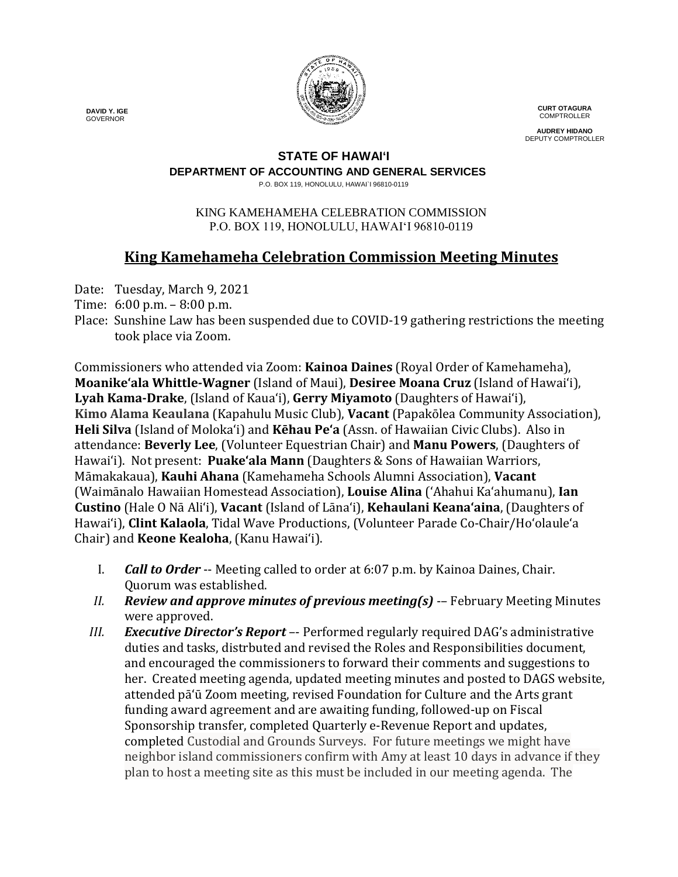

**CURT OTAGURA COMPTROLLER** 

**AUDREY HIDANO** DEPUTY COMPTROLLER

#### **STATE OF HAWAI'I**

**DEPARTMENT OF ACCOUNTING AND GENERAL SERVICES**

P.O. BOX 119, HONOLULU, HAWAI`I 96810-0119

#### KING KAMEHAMEHA CELEBRATION COMMISSION P.O. BOX 119, HONOLULU, HAWAIʻI 96810-0119

# **King Kamehameha Celebration Commission Meeting Minutes**

Date: Tuesday, March 9, 2021

- Time: 6:00 p.m. 8:00 p.m.
- Place: Sunshine Law has been suspended due to COVID-19 gathering restrictions the meeting took place via Zoom.

Commissioners who attended via Zoom: **Kainoa Daines** (Royal Order of Kamehameha), **Moanike'ala Whittle-Wagner** (Island of Maui), **Desiree Moana Cruz** (Island of Hawai'i), **Lyah Kama-Drake**, (Island of Kaua'i), **Gerry Miyamoto** (Daughters of Hawai'i), **Kimo Alama Keaulana** (Kapahulu Music Club), **Vacant** (Papakōlea Community Association), **Heli Silva** (Island of Molokaʻi) and **Kēhau Pe'a** (Assn. of Hawaiian Civic Clubs). Also in attendance: **Beverly Lee**, (Volunteer Equestrian Chair) and **Manu Powers**, (Daughters of Hawai'i). Not present: **Puake'ala Mann** (Daughters & Sons of Hawaiian Warriors, Māmakakaua), **Kauhi Ahana** (Kamehameha Schools Alumni Association), **Vacant** (Waimānalo Hawaiian Homestead Association), **Louise Alina** ('Ahahui Ka'ahumanu), **Ian Custino** (Hale O Nā Ali'i), **Vacant** (Island of Lāna'i), **Kehaulani Keana'aina**, (Daughters of Hawai'i), **Clint Kalaola**, Tidal Wave Productions, (Volunteer Parade Co-Chair/Ho'olaule'a Chair) and **Keone Kealoha**, (Kanu Hawai'i).

- I. *Call to Order* -- Meeting called to order at 6:07 p.m. by Kainoa Daines, Chair. Quorum was established.
- *II. Review and approve minutes of previous meeting(s)* -– February Meeting Minutes were approved.
- *III. Executive Director's Report* –- Performed regularly required DAG's administrative duties and tasks, distrbuted and revised the Roles and Responsibilities document, and encouraged the commissioners to forward their comments and suggestions to her. Created meeting agenda, updated meeting minutes and posted to DAGS website, attended pā'ū Zoom meeting, revised Foundation for Culture and the Arts grant funding award agreement and are awaiting funding, followed-up on Fiscal Sponsorship transfer, completed Quarterly e-Revenue Report and updates, completed Custodial and Grounds Surveys. For future meetings we might have neighbor island commissioners confirm with Amy at least 10 days in advance if they plan to host a meeting site as this must be included in our meeting agenda. The

 **DAVID Y. IGE** GOVERNOR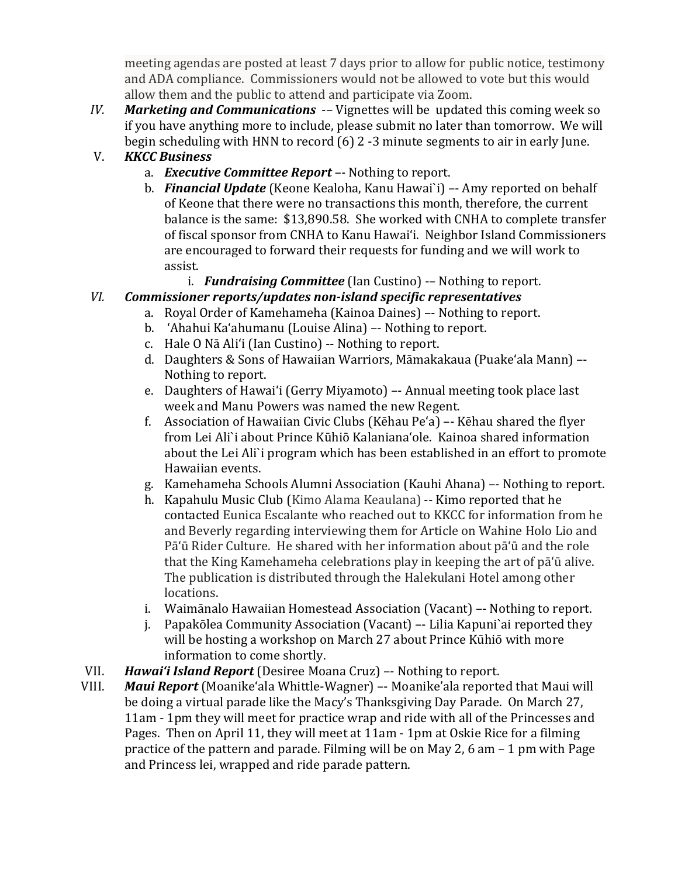meeting agendas are posted at least 7 days prior to allow for public notice, testimony and ADA compliance. Commissioners would not be allowed to vote but this would allow them and the public to attend and participate via Zoom.

*IV. Marketing and Communications* -*–* Vignettes will be updated this coming week so if you have anything more to include, please submit no later than tomorrow. We will begin scheduling with HNN to record (6) 2 -3 minute segments to air in early June.

## V. *KKCC Business*

- a. *Executive Committee Report –-* Nothing to report.
- b. *Financial Update* (Keone Kealoha, Kanu Hawai`i) –- Amy reported on behalf of Keone that there were no transactions this month, therefore, the current balance is the same: \$13,890.58. She worked with CNHA to complete transfer of fiscal sponsor from CNHA to Kanu Hawai'i. Neighbor Island Commissioners are encouraged to forward their requests for funding and we will work to assist.
	- i. *Fundraising Committee* (Ian Custino) -– Nothing to report.

### *VI. Commissioner reports/updates non-island specific representatives*

- a. Royal Order of Kamehameha (Kainoa Daines) –- Nothing to report.
- b. 'Ahahui Ka'ahumanu (Louise Alina) –- Nothing to report.
- c. Hale O Nā Ali'i (Ian Custino) -- Nothing to report.
- d. Daughters & Sons of Hawaiian Warriors, Māmakakaua (Puake'ala Mann) –- Nothing to report.
- e. Daughters of Hawai'i (Gerry Miyamoto) –- Annual meeting took place last week and Manu Powers was named the new Regent.
- f. Association of Hawaiian Civic Clubs (Kēhau Pe'a) –- Kēhau shared the flyer from Lei Ali`i about Prince KūhiōKalanianaʻole. Kainoa shared information about the Lei Ali`i program which has been established in an effort to promote Hawaiian events.
- g. Kamehameha Schools Alumni Association (Kauhi Ahana) –- Nothing to report.
- h. Kapahulu Music Club (Kimo Alama Keaulana) -- Kimo reported that he contacted Eunica Escalante who reached out to KKCC for information from he and Beverly regarding interviewing them for Article on Wahine Holo Lio and Pā'ū Rider Culture. He shared with her information about pāʻū and the role that the King Kamehameha celebrations play in keeping the art of pāʻū alive. The publication is distributed through the Halekulani Hotel among other locations.
- i. Waimānalo Hawaiian Homestead Association (Vacant) –- Nothing to report.
- j. Papakōlea Community Association (Vacant) –- Lilia Kapuni`ai reported they will be hosting a workshop on March 27 about Prince Kūhiō with more information to come shortly.
- VII. *Hawai'i Island Report* (Desiree Moana Cruz) –- Nothing to report.
- *Maui Report* (Moanike'ala Whittle-Wagner) –- Moanike'ala reported that Maui will be doing a virtual parade like the Macy's Thanksgiving Day Parade. On March 27, 11am - 1pm they will meet for practice wrap and ride with all of the Princesses and Pages. Then on April 11, they will meet at 11am - 1pm at Oskie Rice for a filming practice of the pattern and parade. Filming will be on May 2, 6 am – 1 pm with Page and Princess lei, wrapped and ride parade pattern.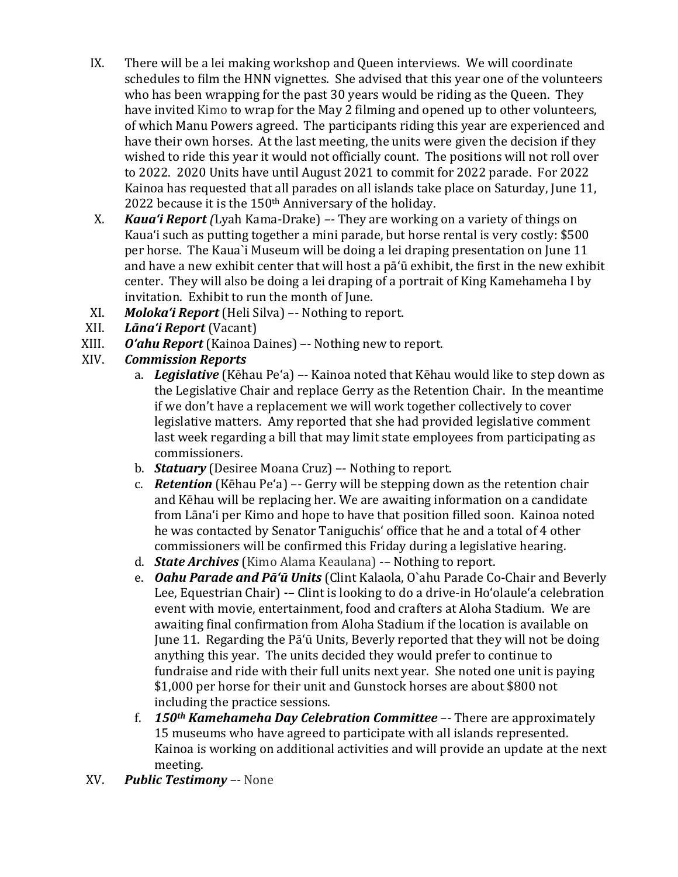- IX. There will be a lei making workshop and Queen interviews. We will coordinate schedules to film the HNN vignettes. She advised that this year one of the volunteers who has been wrapping for the past 30 years would be riding as the Queen. They have invited Kimo to wrap for the May 2 filming and opened up to other volunteers, of which Manu Powers agreed. The participants riding this year are experienced and have their own horses. At the last meeting, the units were given the decision if they wished to ride this year it would not officially count. The positions will not roll over to 2022. 2020 Units have until August 2021 to commit for 2022 parade. For 2022 Kainoa has requested that all parades on all islands take place on Saturday, June 11, 2022 because it is the 150<sup>th</sup> Anniversary of the holiday.
- X. *Kaua'i Report (*Lyah Kama-Drake) *–-* They are working on a variety of things on Kaua'i such as putting together a mini parade, but horse rental is very costly: \$500 per horse. The Kaua`i Museum will be doing a lei draping presentation on June 11 and have a new exhibit center that will host a pā'ū exhibit, the first in the new exhibit center. They will also be doing a lei draping of a portrait of King Kamehameha I by invitation. Exhibit to run the month of June.
- XI. *Moloka'i Report* (Heli Silva) –- Nothing to report.
- XII. *Lāna'i Report* (Vacant)
- XIII. *O'ahu Report* (Kainoa Daines) –- Nothing new to report.

### *Commission Reports*

- a. *Legislative* (Kēhau Pe'a) –- Kainoa noted that Kēhau would like to step down as the Legislative Chair and replace Gerry as the Retention Chair. In the meantime if we don't have a replacement we will work together collectively to cover legislative matters. Amy reported that she had provided legislative comment last week regarding a bill that may limit state employees from participating as commissioners.
- b. *Statuary* (Desiree Moana Cruz) –- Nothing to report.
- c. *Retention* (Kēhau Pe'a) –- Gerry will be stepping down as the retention chair and Kēhau will be replacing her. We are awaiting information on a candidate from Lāna'i per Kimo and hope to have that position filled soon. Kainoa noted he was contacted by Senator Taniguchisʻ office that he and a total of 4 other commissioners will be confirmed this Friday during a legislative hearing.
- d. *State Archives* (Kimo Alama Keaulana) -– Nothing to report.
- e. *Oahu Parade and Pā'ū Units* (Clint Kalaola, O`ahu Parade Co-Chair and Beverly Lee, Equestrian Chair) *-–* Clint is looking to do a drive-in Ho'olaule'a celebration event with movie, entertainment, food and crafters at Aloha Stadium. We are awaiting final confirmation from Aloha Stadium if the location is available on June 11. Regarding the Pā'ū Units, Beverly reported that they will not be doing anything this year. The units decided they would prefer to continue to fundraise and ride with their full units next year. She noted one unit is paying \$1,000 per horse for their unit and Gunstock horses are about \$800 not including the practice sessions.
- f. *150th Kamehameha Day Celebration Committee* –- There are approximately 15 museums who have agreed to participate with all islands represented. Kainoa is working on additional activities and will provide an update at the next meeting.
- XV. *Public Testimony –-* None